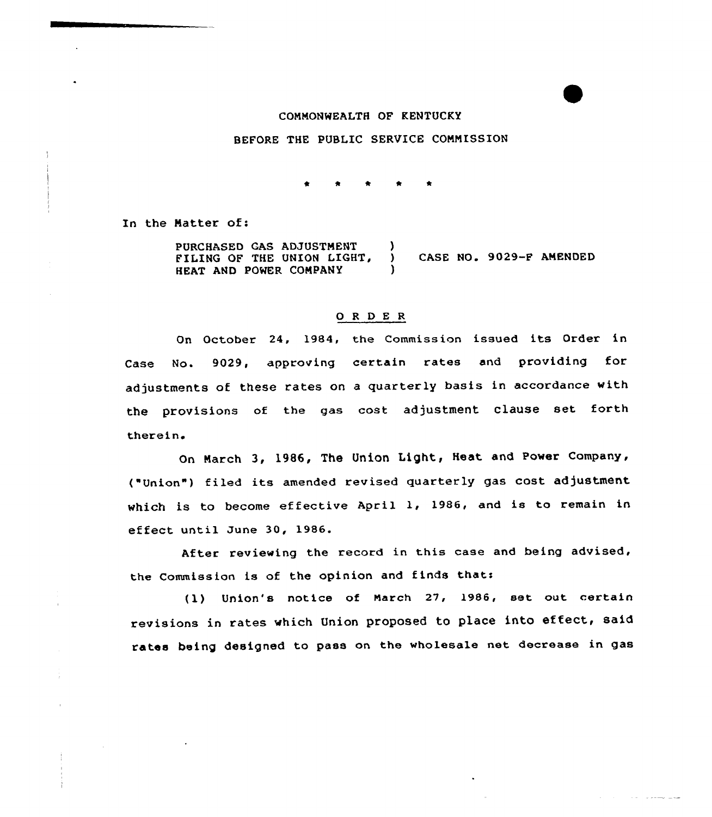## CONNONWEALTH OF KENTUCKY

#### BEFORE THE PUBLIC SERVICE CONNISSION

In the Natter of:

PURCHASED GAS ADJUSTNENT FILING OF THE UNION LIGHT, HEAT AND POWER CONPANY ) ) CASE NO. 9029-F ANENDED )

#### 0 <sup>R</sup> <sup>D</sup> E <sup>R</sup>

On October 24, 1984, the Commission issued its Order in Case No. 9029, approving certain rates and providing for adjustments of these rates on a quarterly basis in accordance with the provisions of the gas cost adjustment clause set forth therein

On Narch 3, l986, The Union Light, Heat and Power Company, ("Union") filed its amended revised quarterly gas cost adjustment which is to become effective April 1, 1986, and is to remain in effect until June 30, 1986.

After reviewing the record in this case and being advised, the Commission is of the opinion and finds that:

(1) Union's notice of Narch 27, 1986, set out certain revisions in rates which Union proposed to place into effect, said rates being designed to pass on the wholesale net decrease in gas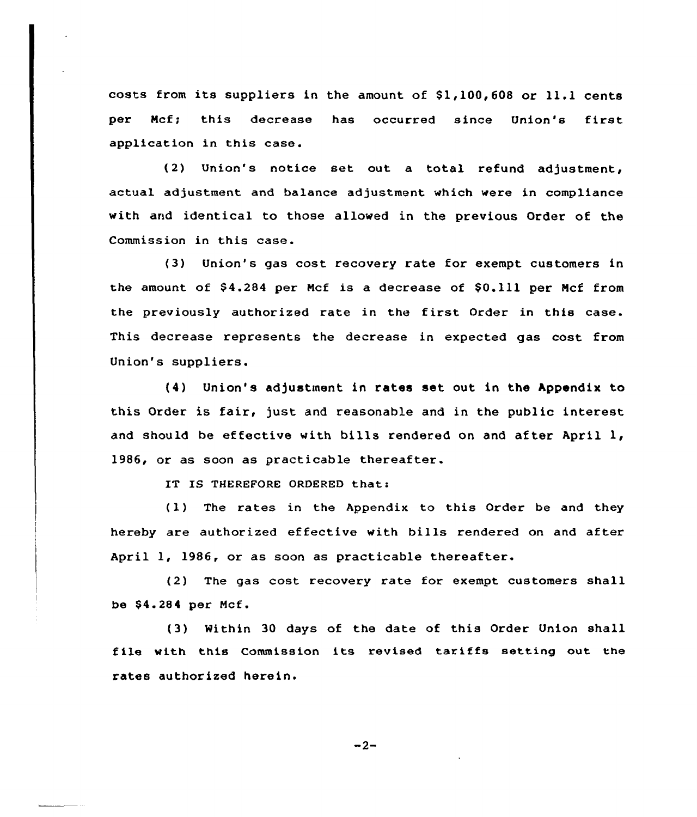costs from its suppliers in the amount of  $$1,100,608$  or  $11.1$  cents per Ncf; this decrease has occurred since Union's first application in this case.

(2) Union's notice set out a total refund adjustment, actual adjustment and balance adjustment which were in compliance with and identical to those allowed in the previous Order of the Commission in this case.

(3) Union's gas cost recovery rate for exempt customers in the amount of \$4.284 per Mcf is a decrease of \$0.111 per Mcf from the previously authorized rate in the first Order in this case. This decrease represents the decrease in expected gas cost from Union's suppliers.

(4) Union's adjustment in rates set out in the Appendix to this Order is fair, just and reasonable and in the public interest and should be effective with bills rendered on and after April 1, 1986, or as soon as practicable thereafter.

IT IS THEREFORE ORDERED that:

(1) The rates in the Appendix to this Order be and they hereby are authorized effective with bills rendered on and after April 1, 1986, or as soon as practicable thereafter.

(2) The gas cost recovery rate for exempt. customers shall be \$4.284 per Mcf.

(3) Within 30 days of the date of this Order Union shall file with this Commission its revised tariffs setting out the rates authorized herein.

 $-2-$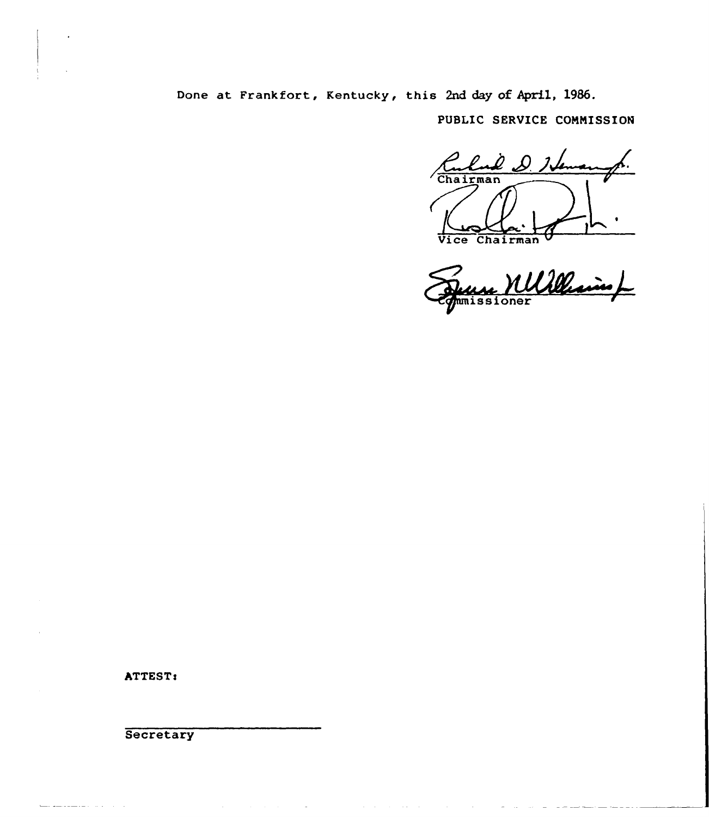Done at Frankfort, Kentucky, this 2nd day of April, 1986.

PUBLIC SERUICE CONNISSION

D. D. Iven Chairman

Vice Chairman V umissioner

ستشاهد المتاريب البرازيد

ATTEST<

**Secretary**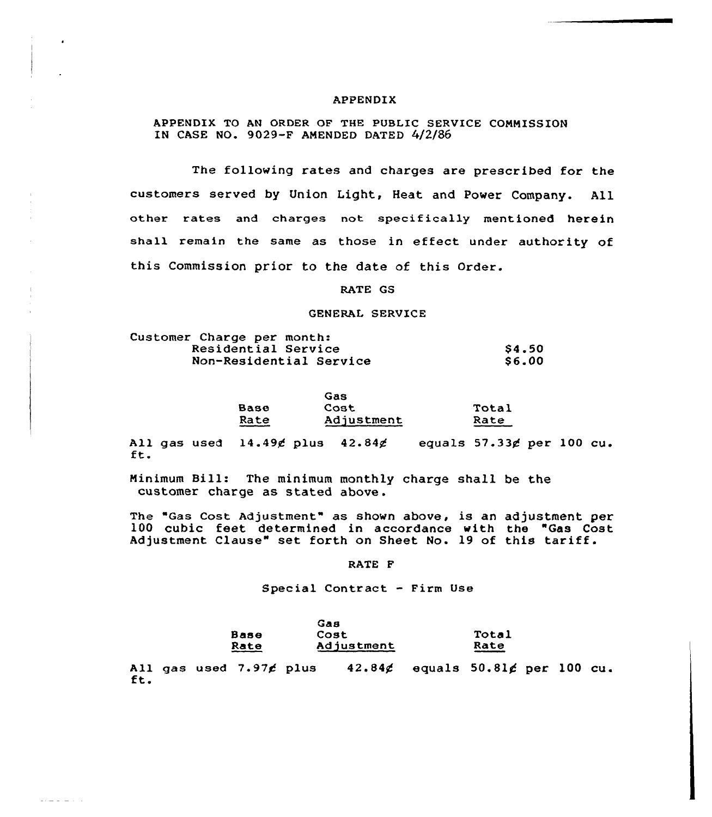## APPENDIX

APPENDIX TO AN ORDER OF THE PUBLIC SERVICE CONMISSION IN CASE NO. 9029-F AMENDED DATED 4/2/86

The following rates and charges are prescribed for the customers served by Union Light, Heat and Power Company. All other rates and charges not specifically mentioned herein shall remain the same as those in effect under authority of this Commission prior to the date of this Order.

RATE GS

#### GENERAL SERVICE

| Customer Charge per month: |                         |              |
|----------------------------|-------------------------|--------------|
| Residential Service        |                         | <b>S4.50</b> |
|                            | Non-Residential Service | <b>S6.00</b> |

|             | Gas        |       |  |
|-------------|------------|-------|--|
| <b>Base</b> | Cost       | Total |  |
| Rate        | Adjustment | Rate  |  |

All gas used  $14.49$ g plus  $42.84$ g equals  $57.33$ g per 100 cu. ft.

Minimum Bill: The minimum monthly charge shall be the customer charge as stated above .

The "Gas Cost Adjustment" as shown above, is an adjustment per 100 cubic feet determined in accordance with the "Gas Cost Adjustment Clause" set forth on Sheet No. 19 of this tariff.

RATE F

Special Contract - Firm Use

|                | Gая        |                 |
|----------------|------------|-----------------|
| Base           | Cost       | Total           |
| Rate<br>$   -$ | Adjustment | Rate<br>_______ |

All gas used  $7.97$  $6$  plus  $42.846$  equals  $50.816$  per 100 cu.<br>ft.

 $\frac{1}{2} \left( \frac{1}{2} \right) \frac{1}{2} \left( \frac{1}{2} \right) \left( \frac{1}{2} \right) \left( \frac{1}{2} \right) \left( \frac{1}{2} \right) \left( \frac{1}{2} \right)$